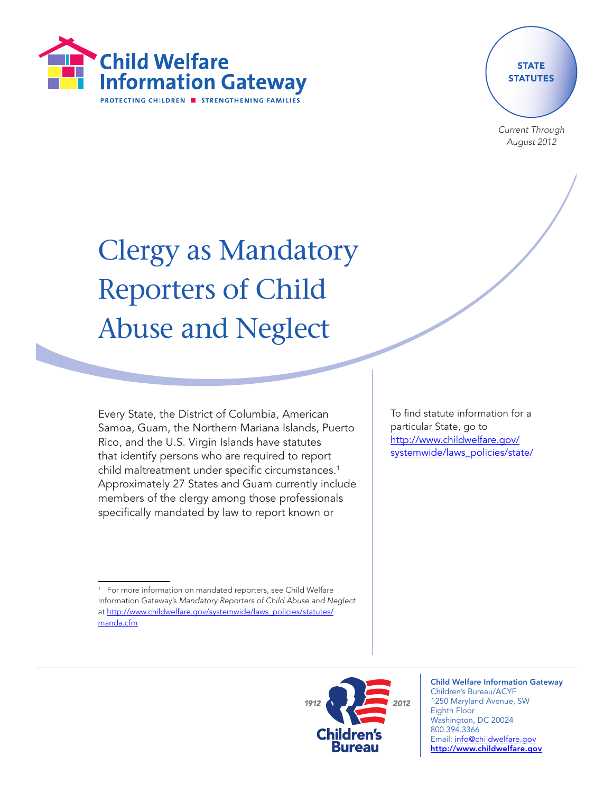

## **STATE STATUTES**

Current Through August 2012

# Clergy as Mandatory Reporters of Child Abuse and Neglect

Every State, the District of Columbia, American Samoa, Guam, the Northern Mariana Islands, Puerto Rico, and the U.S. Virgin Islands have statutes that identify persons who are required to report child maltreatment under specific circumstances.<sup>1</sup> Approximately 27 States and Guam currently include members of the clergy among those professionals specifically mandated by law to report known or

To find statute information for a particular State, go to [http://www.childwelfare.gov/](http://www.childwelfare.gov/systemwide/laws_policies/state/) [systemwide/laws\\_policies/state/](http://www.childwelfare.gov/systemwide/laws_policies/state/)



Child Welfare Information Gateway Children's Bureau/ACYF 1250 Maryland Avenue, SW Eighth Floor Washington, DC 20024 800.394.3366 Email: info@childwelfare.gov http://www.childwelfare.gov

 $1$  For more information on mandated reporters, see Child Welfare Information Gateway's Mandatory Reporters of Child Abuse and Neglect at [http://www.childwelfare.gov/systemwide/laws\\_policies/statutes/](http://www.childwelfare.gov/systemwide/laws_policies/statutes/manda.cfm) [manda.cfm](http://www.childwelfare.gov/systemwide/laws_policies/statutes/manda.cfm)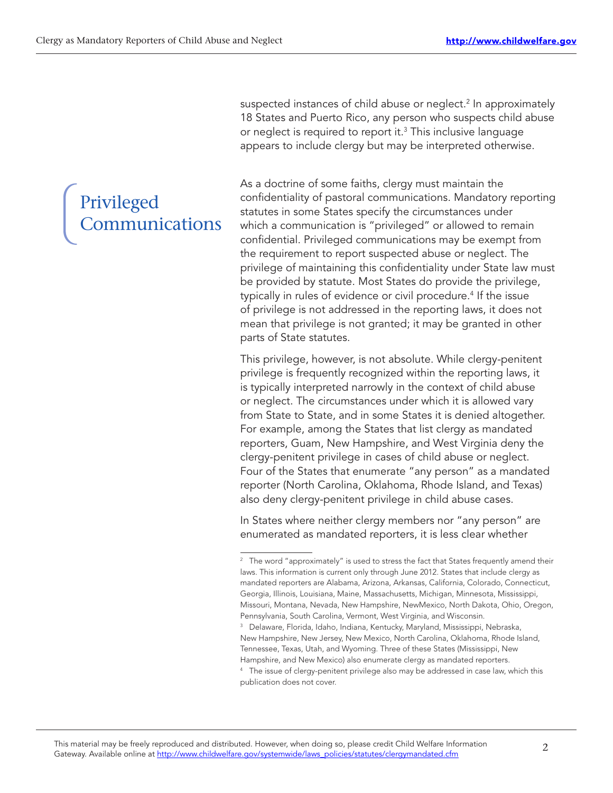suspected instances of child abuse or neglect.2 In approximately 18 States and Puerto Rico, any person who suspects child abuse or neglect is required to report it.<sup>3</sup> This inclusive language appears to include clergy but may be interpreted otherwise.

### Privileged **Communications**

As a doctrine of some faiths, clergy must maintain the confidentiality of pastoral communications. Mandatory reporting statutes in some States specify the circumstances under which a communication is "privileged" or allowed to remain confidential. Privileged communications may be exempt from the requirement to report suspected abuse or neglect. The privilege of maintaining this confidentiality under State law must be provided by statute. Most States do provide the privilege, typically in rules of evidence or civil procedure.<sup>4</sup> If the issue of privilege is not addressed in the reporting laws, it does not mean that privilege is not granted; it may be granted in other parts of State statutes.

This privilege, however, is not absolute. While clergy-penitent privilege is frequently recognized within the reporting laws, it is typically interpreted narrowly in the context of child abuse or neglect. The circumstances under which it is allowed vary from State to State, and in some States it is denied altogether. For example, among the States that list clergy as mandated reporters, Guam, New Hampshire, and West Virginia deny the clergy-penitent privilege in cases of child abuse or neglect. Four of the States that enumerate "any person" as a mandated reporter (North Carolina, Oklahoma, Rhode Island, and Texas) also deny clergy-penitent privilege in child abuse cases.

In States where neither clergy members nor "any person" are enumerated as mandated reporters, it is less clear whether

<sup>&</sup>lt;sup>2</sup> The word "approximately" is used to stress the fact that States frequently amend their laws. This information is current only through June 2012. States that include clergy as mandated reporters are Alabama, Arizona, Arkansas, California, Colorado, Connecticut, Georgia, Illinois, Louisiana, Maine, Massachusetts, Michigan, Minnesota, Mississippi, Missouri, Montana, Nevada, New Hampshire, NewMexico, North Dakota, Ohio, Oregon, Pennsylvania, South Carolina, Vermont, West Virginia, and Wisconsin.

<sup>&</sup>lt;sup>3</sup> Delaware, Florida, Idaho, Indiana, Kentucky, Maryland, Mississippi, Nebraska, New Hampshire, New Jersey, New Mexico, North Carolina, Oklahoma, Rhode Island, Tennessee, Texas, Utah, and Wyoming. Three of these States (Mississippi, New Hampshire, and New Mexico) also enumerate clergy as mandated reporters.

<sup>&</sup>lt;sup>4</sup> The issue of clergy-penitent privilege also may be addressed in case law, which this publication does not cover.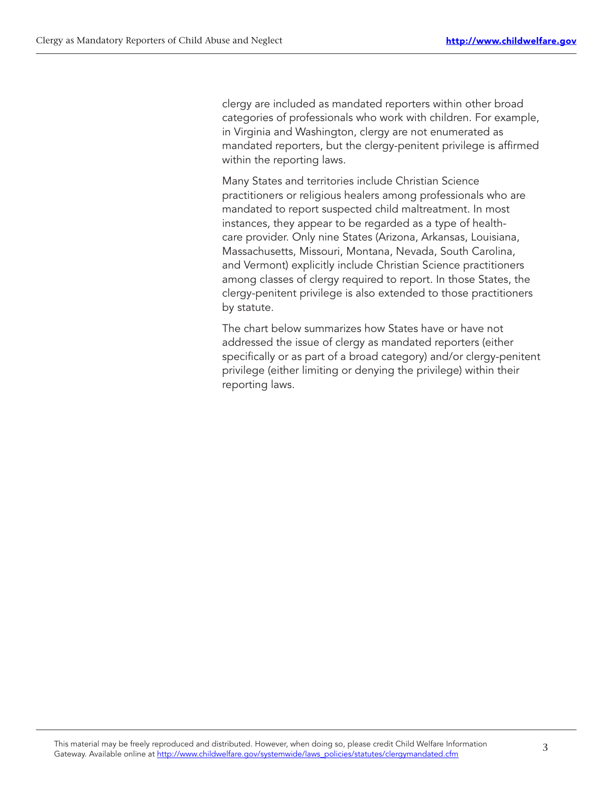clergy are included as mandated reporters within other broad categories of professionals who work with children. For example, in Virginia and Washington, clergy are not enumerated as mandated reporters, but the clergy-penitent privilege is affirmed within the reporting laws.

Many States and territories include Christian Science practitioners or religious healers among professionals who are mandated to report suspected child maltreatment. In most instances, they appear to be regarded as a type of healthcare provider. Only nine States (Arizona, Arkansas, Louisiana, Massachusetts, Missouri, Montana, Nevada, South Carolina, and Vermont) explicitly include Christian Science practitioners among classes of clergy required to report. In those States, the clergy-penitent privilege is also extended to those practitioners by statute.

The chart below summarizes how States have or have not addressed the issue of clergy as mandated reporters (either specifically or as part of a broad category) and/or clergy-penitent privilege (either limiting or denying the privilege) within their reporting laws.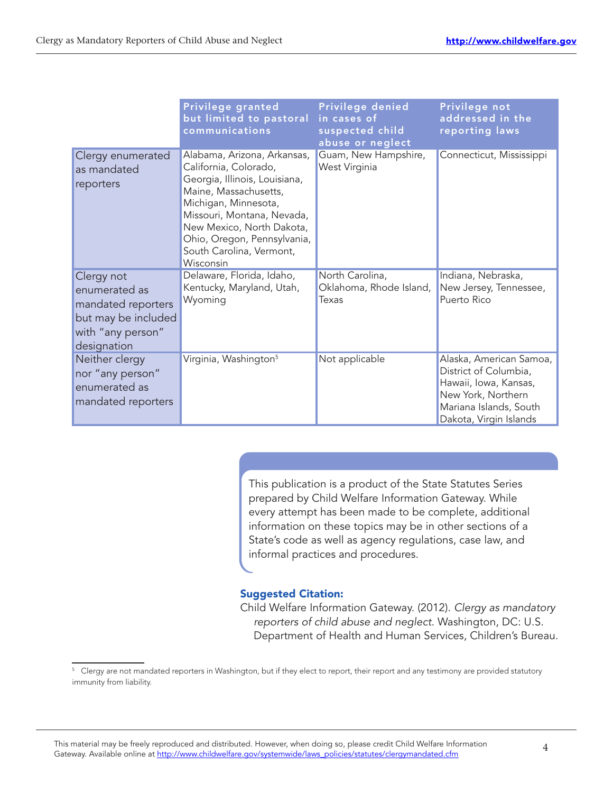|                                                                                                              | Privilege granted<br>but limited to pastoral<br>communications                                                                                                                                                                                                            | Privilege denied<br>in cases of<br>suspected child<br>abuse or neglect | Privilege not<br>addressed in the<br>reporting laws                                                                                                 |
|--------------------------------------------------------------------------------------------------------------|---------------------------------------------------------------------------------------------------------------------------------------------------------------------------------------------------------------------------------------------------------------------------|------------------------------------------------------------------------|-----------------------------------------------------------------------------------------------------------------------------------------------------|
| Clergy enumerated<br>as mandated<br>reporters                                                                | Alabama, Arizona, Arkansas,<br>California, Colorado,<br>Georgia, Illinois, Louisiana,<br>Maine, Massachusetts,<br>Michigan, Minnesota,<br>Missouri, Montana, Nevada,<br>New Mexico, North Dakota,<br>Ohio, Oregon, Pennsylvania,<br>South Carolina, Vermont,<br>Wisconsin | Guam, New Hampshire,<br>West Virginia                                  | Connecticut, Mississippi                                                                                                                            |
| Clergy not<br>enumerated as<br>mandated reporters<br>but may be included<br>with "any person"<br>designation | Delaware, Florida, Idaho,<br>Kentucky, Maryland, Utah,<br>Wyoming                                                                                                                                                                                                         | North Carolina,<br>Oklahoma, Rhode Island,<br>Texas                    | Indiana, Nebraska,<br>New Jersey, Tennessee,<br>Puerto Rico                                                                                         |
| Neither clergy<br>nor "any person"<br>enumerated as<br>mandated reporters                                    | Virginia, Washington <sup>5</sup>                                                                                                                                                                                                                                         | Not applicable                                                         | Alaska, American Samoa,<br>District of Columbia,<br>Hawaii, Iowa, Kansas,<br>New York, Northern<br>Mariana Islands, South<br>Dakota, Virgin Islands |

This publication is a product of the State Statutes Series prepared by Child Welfare Information Gateway. While every attempt has been made to be complete, additional information on these topics may be in other sections of a State's code as well as agency regulations, case law, and informal practices and procedures.

#### Suggested Citation:

Child Welfare Information Gateway. (2012). Clergy as mandatory reporters of child abuse and neglect. Washington, DC: U.S. Department of Health and Human Services, Children's Bureau.

<sup>&</sup>lt;sup>5</sup> Clergy are not mandated reporters in Washington, but if they elect to report, their report and any testimony are provided statutory immunity from liability.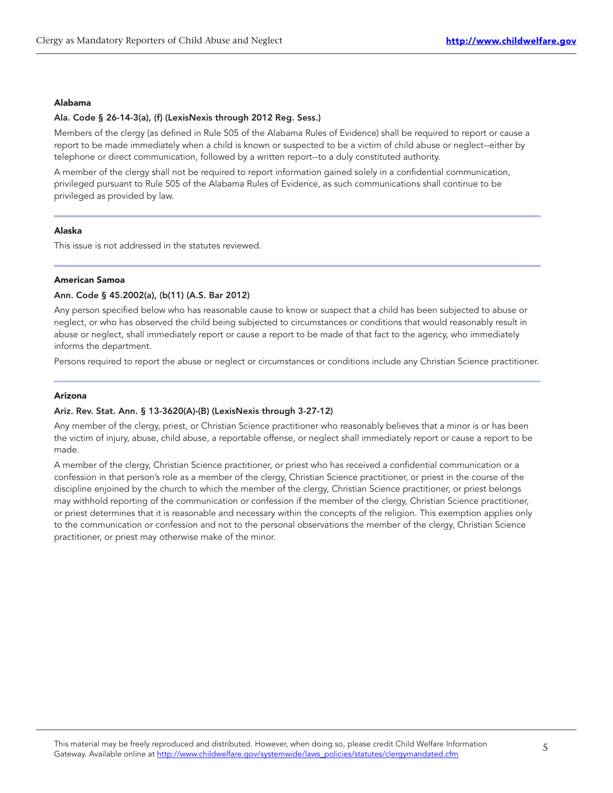#### Alabama

#### Ala. Code § 26-14-3(a), (f) (LexisNexis through 2012 Reg. Sess.)

Members of the clergy (as defined in Rule 505 of the Alabama Rules of Evidence) shall be required to report or cause a report to be made immediately when a child is known or suspected to be a victim of child abuse or neglect--either by telephone or direct communication, followed by a written report--to a duly constituted authority.

A member of the clergy shall not be required to report information gained solely in a confidential communication, privileged pursuant to Rule 505 of the Alabama Rules of Evidence, as such communications shall continue to be privileged as provided by law.

#### Alaska

This issue is not addressed in the statutes reviewed.

#### American Samoa

#### Ann. Code § 45.2002(a), (b(11) (A.S. Bar 2012)

Any person specified below who has reasonable cause to know or suspect that a child has been subjected to abuse or neglect, or who has observed the child being subjected to circumstances or conditions that would reasonably result in abuse or neglect, shall immediately report or cause a report to be made of that fact to the agency, who immediately informs the department.

Persons required to report the abuse or neglect or circumstances or conditions include any Christian Science practitioner.

#### Arizona

#### Ariz. Rev. Stat. Ann. § 13-3620(A)-(B) (LexisNexis through 3-27-12)

Any member of the clergy, priest, or Christian Science practitioner who reasonably believes that a minor is or has been the victim of injury, abuse, child abuse, a reportable offense, or neglect shall immediately report or cause a report to be made.

A member of the clergy, Christian Science practitioner, or priest who has received a confidential communication or a confession in that person's role as a member of the clergy, Christian Science practitioner, or priest in the course of the discipline enjoined by the church to which the member of the clergy, Christian Science practitioner, or priest belongs may withhold reporting of the communication or confession if the member of the clergy, Christian Science practitioner, or priest determines that it is reasonable and necessary within the concepts of the religion. This exemption applies only to the communication or confession and not to the personal observations the member of the clergy, Christian Science practitioner, or priest may otherwise make of the minor.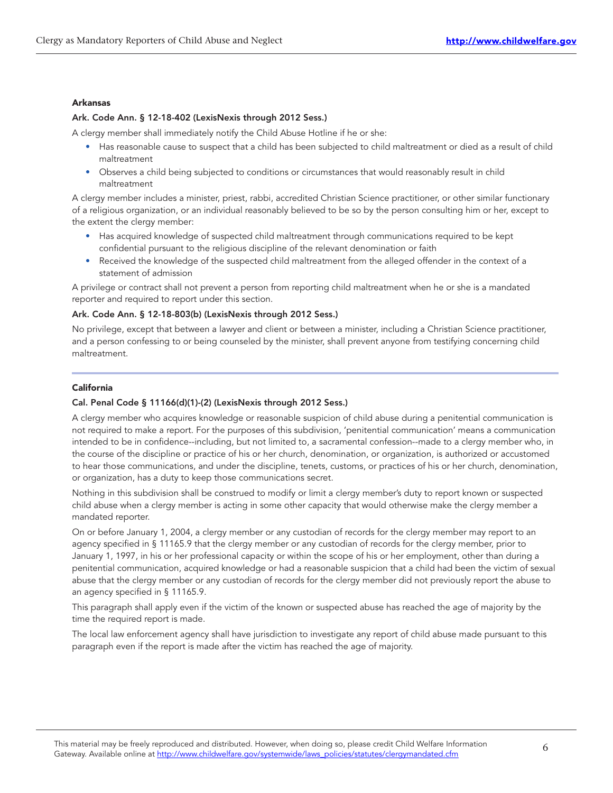#### Arkansas

#### Ark. Code Ann. § 12-18-402 (LexisNexis through 2012 Sess.)

A clergy member shall immediately notify the Child Abuse Hotline if he or she:

- Has reasonable cause to suspect that a child has been subjected to child maltreatment or died as a result of child maltreatment
- Observes a child being subjected to conditions or circumstances that would reasonably result in child maltreatment

A clergy member includes a minister, priest, rabbi, accredited Christian Science practitioner, or other similar functionary of a religious organization, or an individual reasonably believed to be so by the person consulting him or her, except to the extent the clergy member:

- Has acquired knowledge of suspected child maltreatment through communications required to be kept confidential pursuant to the religious discipline of the relevant denomination or faith
- Received the knowledge of the suspected child maltreatment from the alleged offender in the context of a statement of admission

A privilege or contract shall not prevent a person from reporting child maltreatment when he or she is a mandated reporter and required to report under this section.

#### Ark. Code Ann. § 12-18-803(b) (LexisNexis through 2012 Sess.)

No privilege, except that between a lawyer and client or between a minister, including a Christian Science practitioner, and a person confessing to or being counseled by the minister, shall prevent anyone from testifying concerning child maltreatment.

#### California

#### Cal. Penal Code § 11166(d)(1)-(2) (LexisNexis through 2012 Sess.)

A clergy member who acquires knowledge or reasonable suspicion of child abuse during a penitential communication is not required to make a report. For the purposes of this subdivision, 'penitential communication' means a communication intended to be in confidence--including, but not limited to, a sacramental confession--made to a clergy member who, in the course of the discipline or practice of his or her church, denomination, or organization, is authorized or accustomed to hear those communications, and under the discipline, tenets, customs, or practices of his or her church, denomination, or organization, has a duty to keep those communications secret.

Nothing in this subdivision shall be construed to modify or limit a clergy member's duty to report known or suspected child abuse when a clergy member is acting in some other capacity that would otherwise make the clergy member a mandated reporter.

On or before January 1, 2004, a clergy member or any custodian of records for the clergy member may report to an agency specified in § 11165.9 that the clergy member or any custodian of records for the clergy member, prior to January 1, 1997, in his or her professional capacity or within the scope of his or her employment, other than during a penitential communication, acquired knowledge or had a reasonable suspicion that a child had been the victim of sexual abuse that the clergy member or any custodian of records for the clergy member did not previously report the abuse to an agency specified in § 11165.9.

This paragraph shall apply even if the victim of the known or suspected abuse has reached the age of majority by the time the required report is made.

The local law enforcement agency shall have jurisdiction to investigate any report of child abuse made pursuant to this paragraph even if the report is made after the victim has reached the age of majority.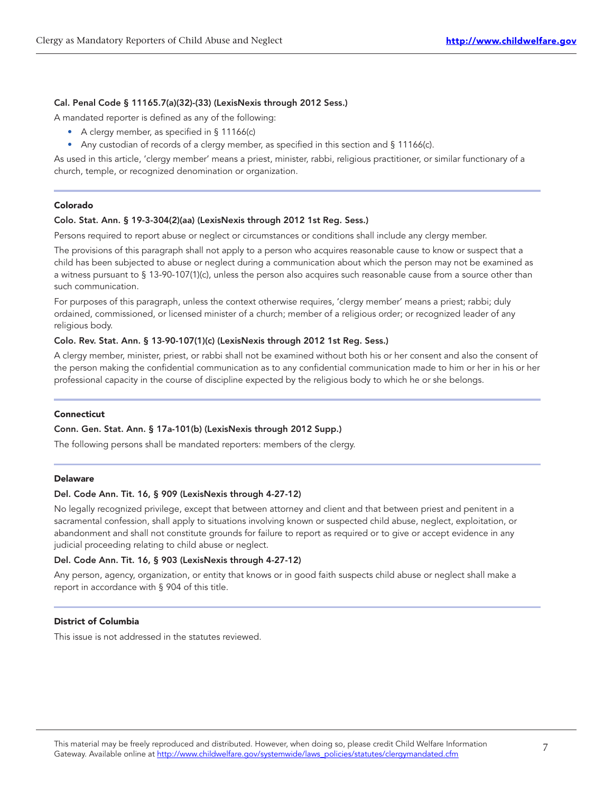#### Cal. Penal Code § 11165.7(a)(32)-(33) (LexisNexis through 2012 Sess.)

A mandated reporter is defined as any of the following:

- A clergy member, as specified in § 11166(c)
- Any custodian of records of a clergy member, as specified in this section and § 11166(c).

As used in this article, 'clergy member' means a priest, minister, rabbi, religious practitioner, or similar functionary of a church, temple, or recognized denomination or organization.

#### Colorado

#### Colo. Stat. Ann. § 19-3-304(2)(aa) (LexisNexis through 2012 1st Reg. Sess.)

Persons required to report abuse or neglect or circumstances or conditions shall include any clergy member.

The provisions of this paragraph shall not apply to a person who acquires reasonable cause to know or suspect that a child has been subjected to abuse or neglect during a communication about which the person may not be examined as a witness pursuant to § 13-90-107(1)(c), unless the person also acquires such reasonable cause from a source other than such communication.

For purposes of this paragraph, unless the context otherwise requires, 'clergy member' means a priest; rabbi; duly ordained, commissioned, or licensed minister of a church; member of a religious order; or recognized leader of any religious body.

#### Colo. Rev. Stat. Ann. § 13-90-107(1)(c) (LexisNexis through 2012 1st Reg. Sess.)

A clergy member, minister, priest, or rabbi shall not be examined without both his or her consent and also the consent of the person making the confidential communication as to any confidential communication made to him or her in his or her professional capacity in the course of discipline expected by the religious body to which he or she belongs.

#### Connecticut

#### Conn. Gen. Stat. Ann. § 17a-101(b) (LexisNexis through 2012 Supp.)

The following persons shall be mandated reporters: members of the clergy.

#### Delaware

#### Del. Code Ann. Tit. 16, § 909 (LexisNexis through 4-27-12)

No legally recognized privilege, except that between attorney and client and that between priest and penitent in a sacramental confession, shall apply to situations involving known or suspected child abuse, neglect, exploitation, or abandonment and shall not constitute grounds for failure to report as required or to give or accept evidence in any judicial proceeding relating to child abuse or neglect.

#### Del. Code Ann. Tit. 16, § 903 (LexisNexis through 4-27-12)

Any person, agency, organization, or entity that knows or in good faith suspects child abuse or neglect shall make a report in accordance with § 904 of this title.

#### District of Columbia

This issue is not addressed in the statutes reviewed.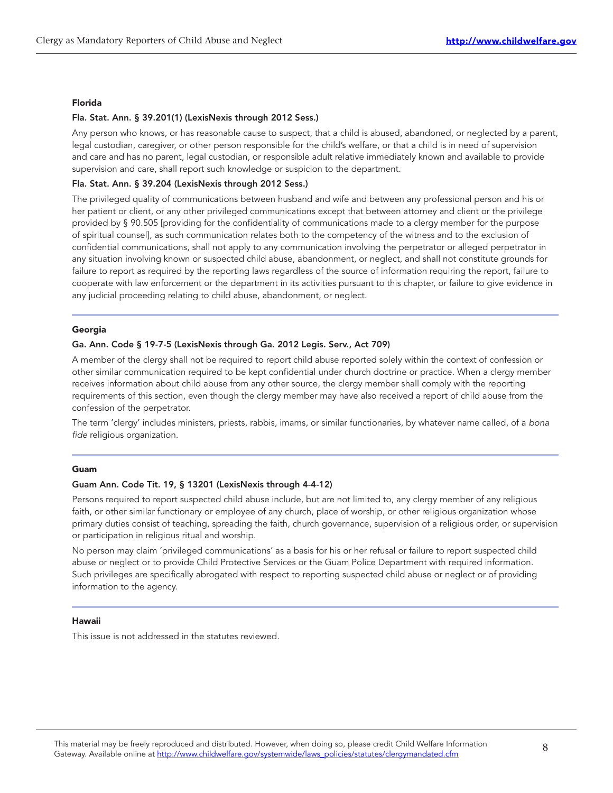#### Florida

#### Fla. Stat. Ann. § 39.201(1) (LexisNexis through 2012 Sess.)

Any person who knows, or has reasonable cause to suspect, that a child is abused, abandoned, or neglected by a parent, legal custodian, caregiver, or other person responsible for the child's welfare, or that a child is in need of supervision and care and has no parent, legal custodian, or responsible adult relative immediately known and available to provide supervision and care, shall report such knowledge or suspicion to the department.

#### Fla. Stat. Ann. § 39.204 (LexisNexis through 2012 Sess.)

The privileged quality of communications between husband and wife and between any professional person and his or her patient or client, or any other privileged communications except that between attorney and client or the privilege provided by § 90.505 [providing for the confidentiality of communications made to a clergy member for the purpose of spiritual counsel], as such communication relates both to the competency of the witness and to the exclusion of confidential communications, shall not apply to any communication involving the perpetrator or alleged perpetrator in any situation involving known or suspected child abuse, abandonment, or neglect, and shall not constitute grounds for failure to report as required by the reporting laws regardless of the source of information requiring the report, failure to cooperate with law enforcement or the department in its activities pursuant to this chapter, or failure to give evidence in any judicial proceeding relating to child abuse, abandonment, or neglect.

#### Georgia

#### Ga. Ann. Code § 19-7-5 (LexisNexis through Ga. 2012 Legis. Serv., Act 709)

A member of the clergy shall not be required to report child abuse reported solely within the context of confession or other similar communication required to be kept confidential under church doctrine or practice. When a clergy member receives information about child abuse from any other source, the clergy member shall comply with the reporting requirements of this section, even though the clergy member may have also received a report of child abuse from the confession of the perpetrator.

The term 'clergy' includes ministers, priests, rabbis, imams, or similar functionaries, by whatever name called, of a bona fide religious organization.

#### Guam

#### Guam Ann. Code Tit. 19, § 13201 (LexisNexis through 4-4-12)

Persons required to report suspected child abuse include, but are not limited to, any clergy member of any religious faith, or other similar functionary or employee of any church, place of worship, or other religious organization whose primary duties consist of teaching, spreading the faith, church governance, supervision of a religious order, or supervision or participation in religious ritual and worship.

No person may claim 'privileged communications' as a basis for his or her refusal or failure to report suspected child abuse or neglect or to provide Child Protective Services or the Guam Police Department with required information. Such privileges are specifically abrogated with respect to reporting suspected child abuse or neglect or of providing information to the agency.

#### Hawaii

This issue is not addressed in the statutes reviewed.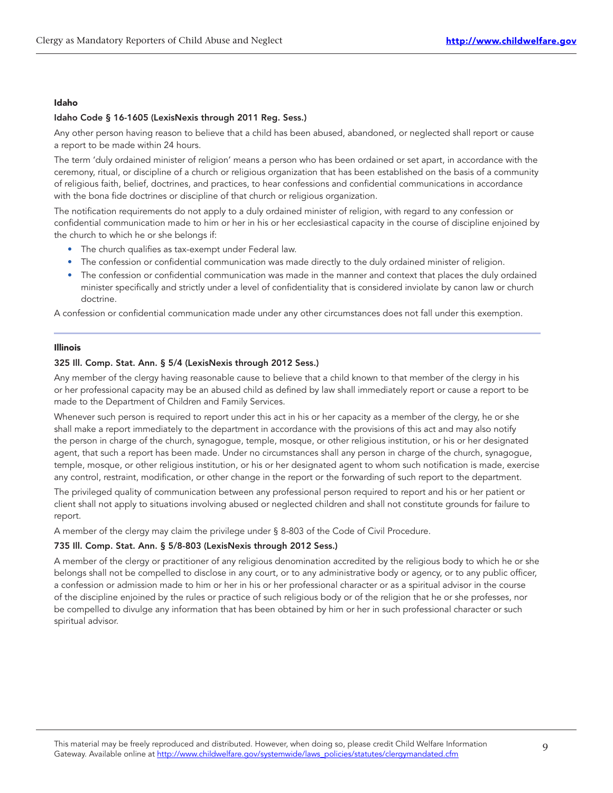#### Idaho

#### Idaho Code § 16-1605 (LexisNexis through 2011 Reg. Sess.)

Any other person having reason to believe that a child has been abused, abandoned, or neglected shall report or cause a report to be made within 24 hours.

The term 'duly ordained minister of religion' means a person who has been ordained or set apart, in accordance with the ceremony, ritual, or discipline of a church or religious organization that has been established on the basis of a community of religious faith, belief, doctrines, and practices, to hear confessions and confidential communications in accordance with the bona fide doctrines or discipline of that church or religious organization.

The notification requirements do not apply to a duly ordained minister of religion, with regard to any confession or confidential communication made to him or her in his or her ecclesiastical capacity in the course of discipline enjoined by the church to which he or she belongs if:

- The church qualifies as tax-exempt under Federal law.
- The confession or confidential communication was made directly to the duly ordained minister of religion.
- The confession or confidential communication was made in the manner and context that places the duly ordained minister specifically and strictly under a level of confidentiality that is considered inviolate by canon law or church doctrine.

A confession or confidential communication made under any other circumstances does not fall under this exemption.

#### Illinois

#### 325 Ill. Comp. Stat. Ann. § 5/4 (LexisNexis through 2012 Sess.)

Any member of the clergy having reasonable cause to believe that a child known to that member of the clergy in his or her professional capacity may be an abused child as defined by law shall immediately report or cause a report to be made to the Department of Children and Family Services.

Whenever such person is required to report under this act in his or her capacity as a member of the clergy, he or she shall make a report immediately to the department in accordance with the provisions of this act and may also notify the person in charge of the church, synagogue, temple, mosque, or other religious institution, or his or her designated agent, that such a report has been made. Under no circumstances shall any person in charge of the church, synagogue, temple, mosque, or other religious institution, or his or her designated agent to whom such notification is made, exercise any control, restraint, modification, or other change in the report or the forwarding of such report to the department.

The privileged quality of communication between any professional person required to report and his or her patient or client shall not apply to situations involving abused or neglected children and shall not constitute grounds for failure to report.

A member of the clergy may claim the privilege under § 8-803 of the Code of Civil Procedure.

#### 735 Ill. Comp. Stat. Ann. § 5/8-803 (LexisNexis through 2012 Sess.)

A member of the clergy or practitioner of any religious denomination accredited by the religious body to which he or she belongs shall not be compelled to disclose in any court, or to any administrative body or agency, or to any public officer, a confession or admission made to him or her in his or her professional character or as a spiritual advisor in the course of the discipline enjoined by the rules or practice of such religious body or of the religion that he or she professes, nor be compelled to divulge any information that has been obtained by him or her in such professional character or such spiritual advisor.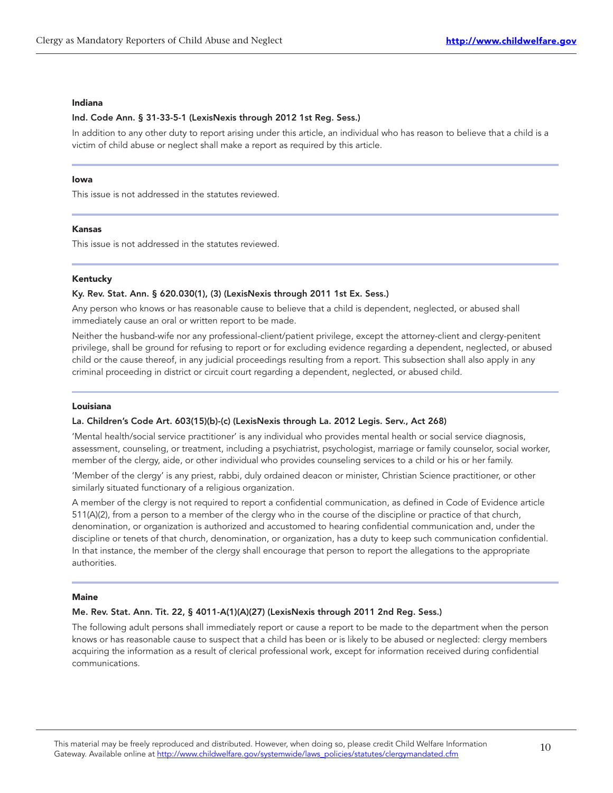#### Indiana

#### Ind. Code Ann. § 31-33-5-1 (LexisNexis through 2012 1st Reg. Sess.)

In addition to any other duty to report arising under this article, an individual who has reason to believe that a child is a victim of child abuse or neglect shall make a report as required by this article.

#### Iowa

This issue is not addressed in the statutes reviewed.

#### Kansas

This issue is not addressed in the statutes reviewed.

#### Kentucky

#### Ky. Rev. Stat. Ann. § 620.030(1), (3) (LexisNexis through 2011 1st Ex. Sess.)

Any person who knows or has reasonable cause to believe that a child is dependent, neglected, or abused shall immediately cause an oral or written report to be made.

Neither the husband-wife nor any professional-client/patient privilege, except the attorney-client and clergy-penitent privilege, shall be ground for refusing to report or for excluding evidence regarding a dependent, neglected, or abused child or the cause thereof, in any judicial proceedings resulting from a report. This subsection shall also apply in any criminal proceeding in district or circuit court regarding a dependent, neglected, or abused child.

#### Louisiana

#### La. Children's Code Art. 603(15)(b)-(c) (LexisNexis through La. 2012 Legis. Serv., Act 268)

'Mental health/social service practitioner' is any individual who provides mental health or social service diagnosis, assessment, counseling, or treatment, including a psychiatrist, psychologist, marriage or family counselor, social worker, member of the clergy, aide, or other individual who provides counseling services to a child or his or her family.

'Member of the clergy' is any priest, rabbi, duly ordained deacon or minister, Christian Science practitioner, or other similarly situated functionary of a religious organization.

A member of the clergy is not required to report a confidential communication, as defined in Code of Evidence article 511(A)(2), from a person to a member of the clergy who in the course of the discipline or practice of that church, denomination, or organization is authorized and accustomed to hearing confidential communication and, under the discipline or tenets of that church, denomination, or organization, has a duty to keep such communication confidential. In that instance, the member of the clergy shall encourage that person to report the allegations to the appropriate authorities.

#### Maine

#### Me. Rev. Stat. Ann. Tit. 22, § 4011-A(1)(A)(27) (LexisNexis through 2011 2nd Reg. Sess.)

The following adult persons shall immediately report or cause a report to be made to the department when the person knows or has reasonable cause to suspect that a child has been or is likely to be abused or neglected: clergy members acquiring the information as a result of clerical professional work, except for information received during confidential communications.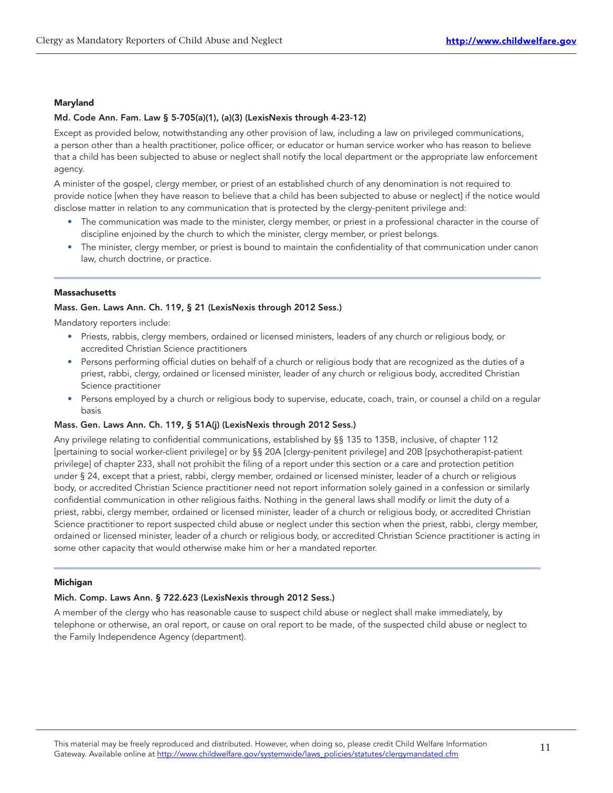#### Maryland

#### Md. Code Ann. Fam. Law § 5-705(a)(1), (a)(3) (LexisNexis through 4-23-12)

Except as provided below, notwithstanding any other provision of law, including a law on privileged communications, a person other than a health practitioner, police officer, or educator or human service worker who has reason to believe that a child has been subjected to abuse or neglect shall notify the local department or the appropriate law enforcement agency.

A minister of the gospel, clergy member, or priest of an established church of any denomination is not required to provide notice [when they have reason to believe that a child has been subjected to abuse or neglect] if the notice would disclose matter in relation to any communication that is protected by the clergy-penitent privilege and:

- The communication was made to the minister, clergy member, or priest in a professional character in the course of discipline enjoined by the church to which the minister, clergy member, or priest belongs.
- The minister, clergy member, or priest is bound to maintain the confidentiality of that communication under canon law, church doctrine, or practice.

#### **Massachusetts**

#### Mass. Gen. Laws Ann. Ch. 119, § 21 (LexisNexis through 2012 Sess.)

Mandatory reporters include:

- Priests, rabbis, clergy members, ordained or licensed ministers, leaders of any church or religious body, or accredited Christian Science practitioners
- Persons performing official duties on behalf of a church or religious body that are recognized as the duties of a priest, rabbi, clergy, ordained or licensed minister, leader of any church or religious body, accredited Christian Science practitioner
- Persons employed by a church or religious body to supervise, educate, coach, train, or counsel a child on a regular basis

#### Mass. Gen. Laws Ann. Ch. 119, § 51A(j) (LexisNexis through 2012 Sess.)

Any privilege relating to confidential communications, established by §§ 135 to 135B, inclusive, of chapter 112 [pertaining to social worker-client privilege] or by §§ 20A [clergy-penitent privilege] and 20B [psychotherapist-patient privilege] of chapter 233, shall not prohibit the filing of a report under this section or a care and protection petition under § 24, except that a priest, rabbi, clergy member, ordained or licensed minister, leader of a church or religious body, or accredited Christian Science practitioner need not report information solely gained in a confession or similarly confidential communication in other religious faiths. Nothing in the general laws shall modify or limit the duty of a priest, rabbi, clergy member, ordained or licensed minister, leader of a church or religious body, or accredited Christian Science practitioner to report suspected child abuse or neglect under this section when the priest, rabbi, clergy member, ordained or licensed minister, leader of a church or religious body, or accredited Christian Science practitioner is acting in some other capacity that would otherwise make him or her a mandated reporter.

#### Michigan

#### Mich. Comp. Laws Ann. § 722.623 (LexisNexis through 2012 Sess.)

A member of the clergy who has reasonable cause to suspect child abuse or neglect shall make immediately, by telephone or otherwise, an oral report, or cause on oral report to be made, of the suspected child abuse or neglect to the Family Independence Agency (department).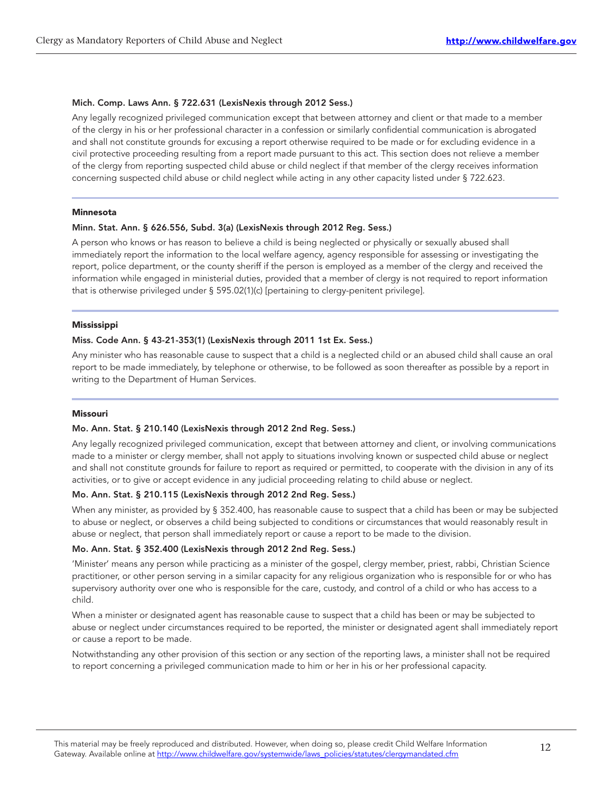#### Mich. Comp. Laws Ann. § 722.631 (LexisNexis through 2012 Sess.)

Any legally recognized privileged communication except that between attorney and client or that made to a member of the clergy in his or her professional character in a confession or similarly confidential communication is abrogated and shall not constitute grounds for excusing a report otherwise required to be made or for excluding evidence in a civil protective proceeding resulting from a report made pursuant to this act. This section does not relieve a member of the clergy from reporting suspected child abuse or child neglect if that member of the clergy receives information concerning suspected child abuse or child neglect while acting in any other capacity listed under § 722.623.

#### Minnesota

#### Minn. Stat. Ann. § 626.556, Subd. 3(a) (LexisNexis through 2012 Reg. Sess.)

A person who knows or has reason to believe a child is being neglected or physically or sexually abused shall immediately report the information to the local welfare agency, agency responsible for assessing or investigating the report, police department, or the county sheriff if the person is employed as a member of the clergy and received the information while engaged in ministerial duties, provided that a member of clergy is not required to report information that is otherwise privileged under § 595.02(1)(c) [pertaining to clergy-penitent privilege].

#### Mississippi

#### Miss. Code Ann. § 43-21-353(1) (LexisNexis through 2011 1st Ex. Sess.)

Any minister who has reasonable cause to suspect that a child is a neglected child or an abused child shall cause an oral report to be made immediately, by telephone or otherwise, to be followed as soon thereafter as possible by a report in writing to the Department of Human Services.

#### Missouri

#### Mo. Ann. Stat. § 210.140 (LexisNexis through 2012 2nd Reg. Sess.)

Any legally recognized privileged communication, except that between attorney and client, or involving communications made to a minister or clergy member, shall not apply to situations involving known or suspected child abuse or neglect and shall not constitute grounds for failure to report as required or permitted, to cooperate with the division in any of its activities, or to give or accept evidence in any judicial proceeding relating to child abuse or neglect.

#### Mo. Ann. Stat. § 210.115 (LexisNexis through 2012 2nd Reg. Sess.)

When any minister, as provided by § 352.400, has reasonable cause to suspect that a child has been or may be subjected to abuse or neglect, or observes a child being subjected to conditions or circumstances that would reasonably result in abuse or neglect, that person shall immediately report or cause a report to be made to the division.

#### Mo. Ann. Stat. § 352.400 (LexisNexis through 2012 2nd Reg. Sess.)

'Minister' means any person while practicing as a minister of the gospel, clergy member, priest, rabbi, Christian Science practitioner, or other person serving in a similar capacity for any religious organization who is responsible for or who has supervisory authority over one who is responsible for the care, custody, and control of a child or who has access to a child.

When a minister or designated agent has reasonable cause to suspect that a child has been or may be subjected to abuse or neglect under circumstances required to be reported, the minister or designated agent shall immediately report or cause a report to be made.

Notwithstanding any other provision of this section or any section of the reporting laws, a minister shall not be required to report concerning a privileged communication made to him or her in his or her professional capacity.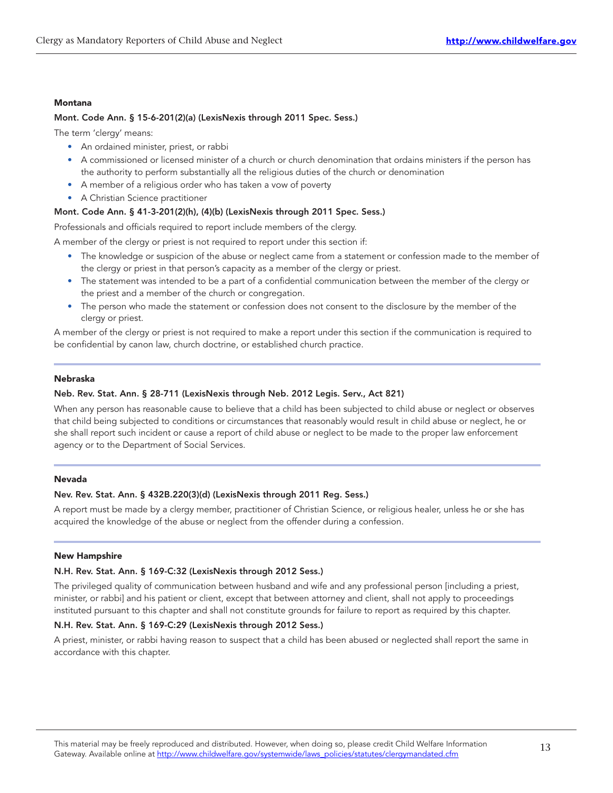#### Montana

#### Mont. Code Ann. § 15-6-201(2)(a) (LexisNexis through 2011 Spec. Sess.)

The term 'clergy' means:

- An ordained minister, priest, or rabbi
- A commissioned or licensed minister of a church or church denomination that ordains ministers if the person has the authority to perform substantially all the religious duties of the church or denomination
- A member of a religious order who has taken a vow of poverty
- A Christian Science practitioner

#### Mont. Code Ann. § 41-3-201(2)(h), (4)(b) (LexisNexis through 2011 Spec. Sess.)

Professionals and officials required to report include members of the clergy.

A member of the clergy or priest is not required to report under this section if:

- The knowledge or suspicion of the abuse or neglect came from a statement or confession made to the member of the clergy or priest in that person's capacity as a member of the clergy or priest.
- The statement was intended to be a part of a confidential communication between the member of the clergy or the priest and a member of the church or congregation.
- The person who made the statement or confession does not consent to the disclosure by the member of the clergy or priest.

A member of the clergy or priest is not required to make a report under this section if the communication is required to be confidential by canon law, church doctrine, or established church practice.

#### Nebraska

#### Neb. Rev. Stat. Ann. § 28-711 (LexisNexis through Neb. 2012 Legis. Serv., Act 821)

When any person has reasonable cause to believe that a child has been subjected to child abuse or neglect or observes that child being subjected to conditions or circumstances that reasonably would result in child abuse or neglect, he or she shall report such incident or cause a report of child abuse or neglect to be made to the proper law enforcement agency or to the Department of Social Services.

#### Nevada

#### Nev. Rev. Stat. Ann. § 432B.220(3)(d) (LexisNexis through 2011 Reg. Sess.)

A report must be made by a clergy member, practitioner of Christian Science, or religious healer, unless he or she has acquired the knowledge of the abuse or neglect from the offender during a confession.

#### New Hampshire

#### N.H. Rev. Stat. Ann. § 169-C:32 (LexisNexis through 2012 Sess.)

The privileged quality of communication between husband and wife and any professional person [including a priest, minister, or rabbi] and his patient or client, except that between attorney and client, shall not apply to proceedings instituted pursuant to this chapter and shall not constitute grounds for failure to report as required by this chapter.

#### N.H. Rev. Stat. Ann. § 169-C:29 (LexisNexis through 2012 Sess.)

A priest, minister, or rabbi having reason to suspect that a child has been abused or neglected shall report the same in accordance with this chapter.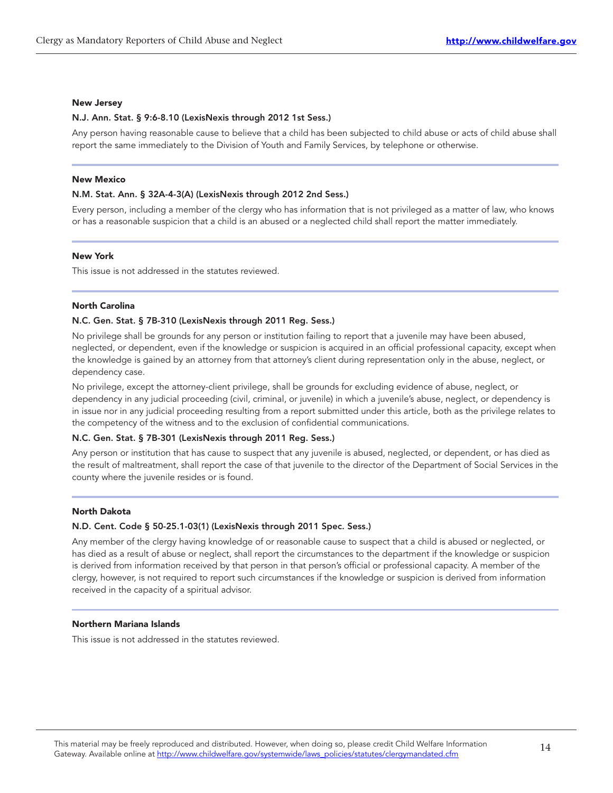#### New Jersey

#### N.J. Ann. Stat. § 9:6-8.10 (LexisNexis through 2012 1st Sess.)

Any person having reasonable cause to believe that a child has been subjected to child abuse or acts of child abuse shall report the same immediately to the Division of Youth and Family Services, by telephone or otherwise.

#### New Mexico

#### N.M. Stat. Ann. § 32A-4-3(A) (LexisNexis through 2012 2nd Sess.)

Every person, including a member of the clergy who has information that is not privileged as a matter of law, who knows or has a reasonable suspicion that a child is an abused or a neglected child shall report the matter immediately.

#### New York

This issue is not addressed in the statutes reviewed.

#### North Carolina

#### N.C. Gen. Stat. § 7B-310 (LexisNexis through 2011 Reg. Sess.)

No privilege shall be grounds for any person or institution failing to report that a juvenile may have been abused, neglected, or dependent, even if the knowledge or suspicion is acquired in an official professional capacity, except when the knowledge is gained by an attorney from that attorney's client during representation only in the abuse, neglect, or dependency case.

No privilege, except the attorney-client privilege, shall be grounds for excluding evidence of abuse, neglect, or dependency in any judicial proceeding (civil, criminal, or juvenile) in which a juvenile's abuse, neglect, or dependency is in issue nor in any judicial proceeding resulting from a report submitted under this article, both as the privilege relates to the competency of the witness and to the exclusion of confidential communications.

#### N.C. Gen. Stat. § 7B-301 (LexisNexis through 2011 Reg. Sess.)

Any person or institution that has cause to suspect that any juvenile is abused, neglected, or dependent, or has died as the result of maltreatment, shall report the case of that juvenile to the director of the Department of Social Services in the county where the juvenile resides or is found.

#### North Dakota

#### N.D. Cent. Code § 50-25.1-03(1) (LexisNexis through 2011 Spec. Sess.)

Any member of the clergy having knowledge of or reasonable cause to suspect that a child is abused or neglected, or has died as a result of abuse or neglect, shall report the circumstances to the department if the knowledge or suspicion is derived from information received by that person in that person's official or professional capacity. A member of the clergy, however, is not required to report such circumstances if the knowledge or suspicion is derived from information received in the capacity of a spiritual advisor.

#### Northern Mariana Islands

This issue is not addressed in the statutes reviewed.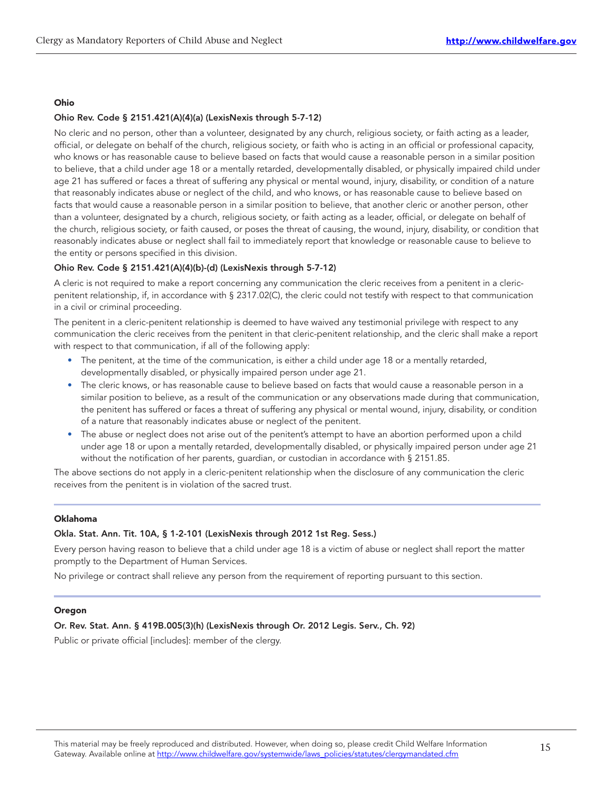#### Ohio

#### Ohio Rev. Code § 2151.421(A)(4)(a) (LexisNexis through 5-7-12)

No cleric and no person, other than a volunteer, designated by any church, religious society, or faith acting as a leader, official, or delegate on behalf of the church, religious society, or faith who is acting in an official or professional capacity, who knows or has reasonable cause to believe based on facts that would cause a reasonable person in a similar position to believe, that a child under age 18 or a mentally retarded, developmentally disabled, or physically impaired child under age 21 has suffered or faces a threat of suffering any physical or mental wound, injury, disability, or condition of a nature that reasonably indicates abuse or neglect of the child, and who knows, or has reasonable cause to believe based on facts that would cause a reasonable person in a similar position to believe, that another cleric or another person, other than a volunteer, designated by a church, religious society, or faith acting as a leader, official, or delegate on behalf of the church, religious society, or faith caused, or poses the threat of causing, the wound, injury, disability, or condition that reasonably indicates abuse or neglect shall fail to immediately report that knowledge or reasonable cause to believe to the entity or persons specified in this division.

#### Ohio Rev. Code § 2151.421(A)(4)(b)-(d) (LexisNexis through 5-7-12)

A cleric is not required to make a report concerning any communication the cleric receives from a penitent in a clericpenitent relationship, if, in accordance with § 2317.02(C), the cleric could not testify with respect to that communication in a civil or criminal proceeding.

The penitent in a cleric-penitent relationship is deemed to have waived any testimonial privilege with respect to any communication the cleric receives from the penitent in that cleric-penitent relationship, and the cleric shall make a report with respect to that communication, if all of the following apply:

- The penitent, at the time of the communication, is either a child under age 18 or a mentally retarded, developmentally disabled, or physically impaired person under age 21.
- The cleric knows, or has reasonable cause to believe based on facts that would cause a reasonable person in a similar position to believe, as a result of the communication or any observations made during that communication, the penitent has suffered or faces a threat of suffering any physical or mental wound, injury, disability, or condition of a nature that reasonably indicates abuse or neglect of the penitent.
- The abuse or neglect does not arise out of the penitent's attempt to have an abortion performed upon a child under age 18 or upon a mentally retarded, developmentally disabled, or physically impaired person under age 21 without the notification of her parents, guardian, or custodian in accordance with § 2151.85.

The above sections do not apply in a cleric-penitent relationship when the disclosure of any communication the cleric receives from the penitent is in violation of the sacred trust.

#### Oklahoma

#### Okla. Stat. Ann. Tit. 10A, § 1-2-101 (LexisNexis through 2012 1st Reg. Sess.)

Every person having reason to believe that a child under age 18 is a victim of abuse or neglect shall report the matter promptly to the Department of Human Services.

No privilege or contract shall relieve any person from the requirement of reporting pursuant to this section.

#### **Oregon**

#### Or. Rev. Stat. Ann. § 419B.005(3)(h) (LexisNexis through Or. 2012 Legis. Serv., Ch. 92)

Public or private official [includes]: member of the clergy.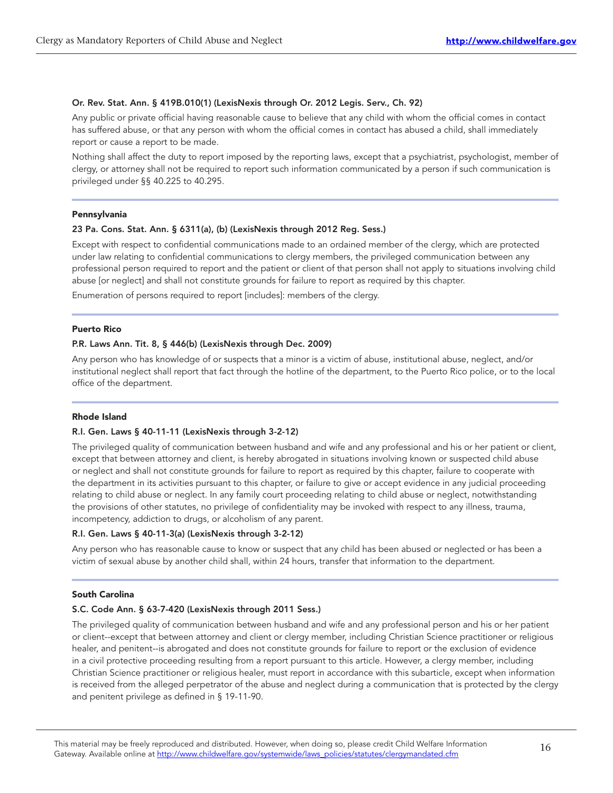#### Or. Rev. Stat. Ann. § 419B.010(1) (LexisNexis through Or. 2012 Legis. Serv., Ch. 92)

Any public or private official having reasonable cause to believe that any child with whom the official comes in contact has suffered abuse, or that any person with whom the official comes in contact has abused a child, shall immediately report or cause a report to be made.

Nothing shall affect the duty to report imposed by the reporting laws, except that a psychiatrist, psychologist, member of clergy, or attorney shall not be required to report such information communicated by a person if such communication is privileged under §§ 40.225 to 40.295.

#### Pennsylvania

#### 23 Pa. Cons. Stat. Ann. § 6311(a), (b) (LexisNexis through 2012 Reg. Sess.)

Except with respect to confidential communications made to an ordained member of the clergy, which are protected under law relating to confidential communications to clergy members, the privileged communication between any professional person required to report and the patient or client of that person shall not apply to situations involving child abuse [or neglect] and shall not constitute grounds for failure to report as required by this chapter.

Enumeration of persons required to report [includes]: members of the clergy.

#### Puerto Rico

#### P.R. Laws Ann. Tit. 8, § 446(b) (LexisNexis through Dec. 2009)

Any person who has knowledge of or suspects that a minor is a victim of abuse, institutional abuse, neglect, and/or institutional neglect shall report that fact through the hotline of the department, to the Puerto Rico police, or to the local office of the department.

#### Rhode Island

#### R.I. Gen. Laws § 40-11-11 (LexisNexis through 3-2-12)

The privileged quality of communication between husband and wife and any professional and his or her patient or client, except that between attorney and client, is hereby abrogated in situations involving known or suspected child abuse or neglect and shall not constitute grounds for failure to report as required by this chapter, failure to cooperate with the department in its activities pursuant to this chapter, or failure to give or accept evidence in any judicial proceeding relating to child abuse or neglect. In any family court proceeding relating to child abuse or neglect, notwithstanding the provisions of other statutes, no privilege of confidentiality may be invoked with respect to any illness, trauma, incompetency, addiction to drugs, or alcoholism of any parent.

#### R.I. Gen. Laws § 40-11-3(a) (LexisNexis through 3-2-12)

Any person who has reasonable cause to know or suspect that any child has been abused or neglected or has been a victim of sexual abuse by another child shall, within 24 hours, transfer that information to the department.

#### South Carolina

#### S.C. Code Ann. § 63-7-420 (LexisNexis through 2011 Sess.)

The privileged quality of communication between husband and wife and any professional person and his or her patient or client--except that between attorney and client or clergy member, including Christian Science practitioner or religious healer, and penitent--is abrogated and does not constitute grounds for failure to report or the exclusion of evidence in a civil protective proceeding resulting from a report pursuant to this article. However, a clergy member, including Christian Science practitioner or religious healer, must report in accordance with this subarticle, except when information is received from the alleged perpetrator of the abuse and neglect during a communication that is protected by the clergy and penitent privilege as defined in § 19-11-90.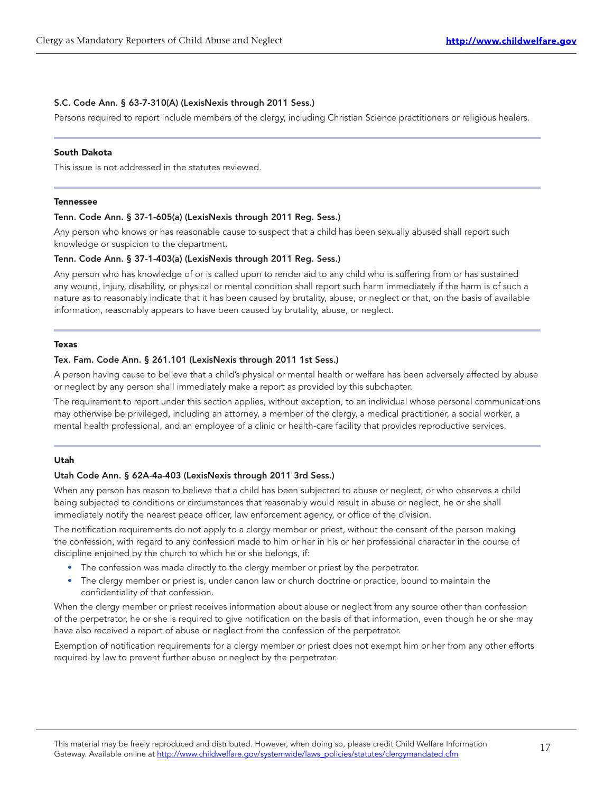#### S.C. Code Ann. § 63-7-310(A) (LexisNexis through 2011 Sess.)

Persons required to report include members of the clergy, including Christian Science practitioners or religious healers.

#### South Dakota

This issue is not addressed in the statutes reviewed.

#### Tennessee

#### Tenn. Code Ann. § 37-1-605(a) (LexisNexis through 2011 Reg. Sess.)

Any person who knows or has reasonable cause to suspect that a child has been sexually abused shall report such knowledge or suspicion to the department.

#### Tenn. Code Ann. § 37-1-403(a) (LexisNexis through 2011 Reg. Sess.)

Any person who has knowledge of or is called upon to render aid to any child who is suffering from or has sustained any wound, injury, disability, or physical or mental condition shall report such harm immediately if the harm is of such a nature as to reasonably indicate that it has been caused by brutality, abuse, or neglect or that, on the basis of available information, reasonably appears to have been caused by brutality, abuse, or neglect.

#### Texas

#### Tex. Fam. Code Ann. § 261.101 (LexisNexis through 2011 1st Sess.)

A person having cause to believe that a child's physical or mental health or welfare has been adversely affected by abuse or neglect by any person shall immediately make a report as provided by this subchapter.

The requirement to report under this section applies, without exception, to an individual whose personal communications may otherwise be privileged, including an attorney, a member of the clergy, a medical practitioner, a social worker, a mental health professional, and an employee of a clinic or health-care facility that provides reproductive services.

#### Utah

#### Utah Code Ann. § 62A-4a-403 (LexisNexis through 2011 3rd Sess.)

When any person has reason to believe that a child has been subjected to abuse or neglect, or who observes a child being subjected to conditions or circumstances that reasonably would result in abuse or neglect, he or she shall immediately notify the nearest peace officer, law enforcement agency, or office of the division.

The notification requirements do not apply to a clergy member or priest, without the consent of the person making the confession, with regard to any confession made to him or her in his or her professional character in the course of discipline enjoined by the church to which he or she belongs, if:

- The confession was made directly to the clergy member or priest by the perpetrator.
- The clergy member or priest is, under canon law or church doctrine or practice, bound to maintain the confidentiality of that confession.

When the clergy member or priest receives information about abuse or neglect from any source other than confession of the perpetrator, he or she is required to give notification on the basis of that information, even though he or she may have also received a report of abuse or neglect from the confession of the perpetrator.

Exemption of notification requirements for a clergy member or priest does not exempt him or her from any other efforts required by law to prevent further abuse or neglect by the perpetrator.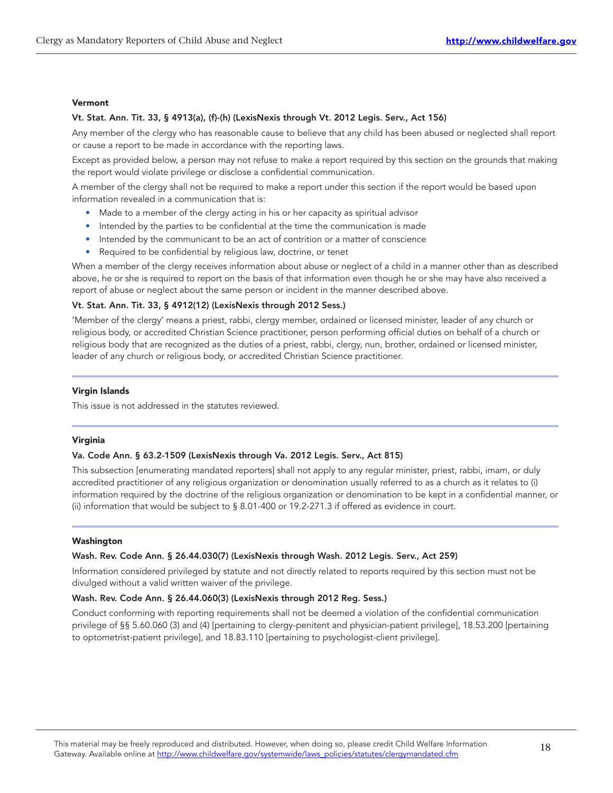#### Vermont

#### Vt. Stat. Ann. Tit. 33, § 4913(a), (f)-(h) (LexisNexis through Vt. 2012 Legis. Serv., Act 156)

Any member of the clergy who has reasonable cause to believe that any child has been abused or neglected shall report or cause a report to be made in accordance with the reporting laws.

Except as provided below, a person may not refuse to make a report required by this section on the grounds that making the report would violate privilege or disclose a confidential communication.

A member of the clergy shall not be required to make a report under this section if the report would be based upon information revealed in a communication that is:

- Made to a member of the clergy acting in his or her capacity as spiritual advisor
- Intended by the parties to be confidential at the time the communication is made
- Intended by the communicant to be an act of contrition or a matter of conscience
- Required to be confidential by religious law, doctrine, or tenet

When a member of the clergy receives information about abuse or neglect of a child in a manner other than as described above, he or she is required to report on the basis of that information even though he or she may have also received a report of abuse or neglect about the same person or incident in the manner described above.

#### Vt. Stat. Ann. Tit. 33, § 4912(12) (LexisNexis through 2012 Sess.)

'Member of the clergy' means a priest, rabbi, clergy member, ordained or licensed minister, leader of any church or religious body, or accredited Christian Science practitioner, person performing official duties on behalf of a church or religious body that are recognized as the duties of a priest, rabbi, clergy, nun, brother, ordained or licensed minister, leader of any church or religious body, or accredited Christian Science practitioner.

#### Virgin Islands

This issue is not addressed in the statutes reviewed.

#### Virginia

#### Va. Code Ann. § 63.2-1509 (LexisNexis through Va. 2012 Legis. Serv., Act 815)

This subsection [enumerating mandated reporters] shall not apply to any regular minister, priest, rabbi, imam, or duly accredited practitioner of any religious organization or denomination usually referred to as a church as it relates to (i) information required by the doctrine of the religious organization or denomination to be kept in a confidential manner, or (ii) information that would be subject to § 8.01-400 or 19.2-271.3 if offered as evidence in court.

#### Washington

#### Wash. Rev. Code Ann. § 26.44.030(7) (LexisNexis through Wash. 2012 Legis. Serv., Act 259)

Information considered privileged by statute and not directly related to reports required by this section must not be divulged without a valid written waiver of the privilege.

#### Wash. Rev. Code Ann. § 26.44.060(3) (LexisNexis through 2012 Reg. Sess.)

Conduct conforming with reporting requirements shall not be deemed a violation of the confidential communication privilege of §§ 5.60.060 (3) and (4) [pertaining to clergy-penitent and physician-patient privilege], 18.53.200 [pertaining to optometrist-patient privilege], and 18.83.110 [pertaining to psychologist-client privilege].